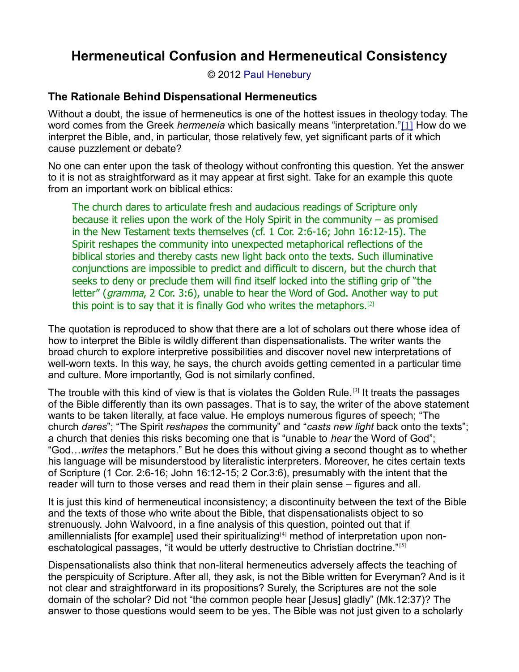© 2012 [Paul Henebury](http://www.spiritandtruth.org/id/ph.htm)

### **The Rationale Behind Dispensational Hermeneutics**

Without a doubt, the issue of hermeneutics is one of the hottest issues in theology today. The word comes from the Greek *hermeneia* which basically means "interpretation."[\[1\]](http://drreluctant.wordpress.com/2008/03/19/hermeneutical-confusion-and-hermeneutical-consistency/#_edn1) How do we interpret the Bible, and, in particular, those relatively few, yet significant parts of it which cause puzzlement or debate?

No one can enter upon the task of theology without confronting this question. Yet the answer to it is not as straightforward as it may appear at first sight. Take for an example this quote from an important work on biblical ethics:

The church dares to articulate fresh and audacious readings of Scripture only because it relies upon the work of the Holy Spirit in the community  $-$  as promised in the New Testament texts themselves (cf. 1 Cor. 2:6-16; John 16:12-15). The Spirit reshapes the community into unexpected metaphorical reflections of the biblical stories and thereby casts new light back onto the texts. Such illuminative conjunctions are impossible to predict and difficult to discern, but the church that seeks to deny or preclude them will find itself locked into the stifling grip of "the letter" (gramma, 2 Cor. 3:6), unable to hear the Word of God. Another way to put this point is to say that it is finally God who writes the metaphors.[2]

The quotation is reproduced to show that there are a lot of scholars out there whose idea of how to interpret the Bible is wildly different than dispensationalists. The writer wants the broad church to explore interpretive possibilities and discover novel new interpretations of well-worn texts. In this way, he says, the church avoids getting cemented in a particular time and culture. More importantly, God is not similarly confined.

The trouble with this kind of view is that is violates the Golden Rule.[3] It treats the passages of the Bible differently than its own passages. That is to say, the writer of the above statement wants to be taken literally, at face value. He employs numerous figures of speech; "The church *dares*"; "The Spirit *reshapes* the community" and "*casts new light* back onto the texts"; a church that denies this risks becoming one that is "unable to *hear* the Word of God"; "God…*writes* the metaphors." But he does this without giving a second thought as to whether his language will be misunderstood by literalistic interpreters. Moreover, he cites certain texts of Scripture (1 Cor. 2:6-16; John 16:12-15; 2 Cor.3:6), presumably with the intent that the reader will turn to those verses and read them in their plain sense – figures and all.

It is just this kind of hermeneutical inconsistency; a discontinuity between the text of the Bible and the texts of those who write about the Bible, that dispensationalists object to so strenuously. John Walvoord, in a fine analysis of this question, pointed out that if amillennialists [for example] used their spiritualizing[4] method of interpretation upon noneschatological passages, "it would be utterly destructive to Christian doctrine."<sup>[5]</sup>

Dispensationalists also think that non-literal hermeneutics adversely affects the teaching of the perspicuity of Scripture. After all, they ask, is not the Bible written for Everyman? And is it not clear and straightforward in its propositions? Surely, the Scriptures are not the sole domain of the scholar? Did not "the common people hear [Jesus] gladly" (Mk.12:37)? The answer to those questions would seem to be yes. The Bible was not just given to a scholarly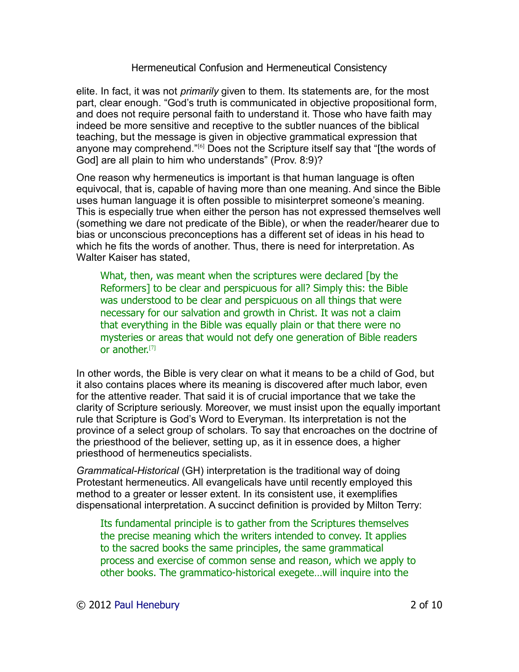elite. In fact, it was not *primarily* given to them. Its statements are, for the most part, clear enough. "God's truth is communicated in objective propositional form, and does not require personal faith to understand it. Those who have faith may indeed be more sensitive and receptive to the subtler nuances of the biblical teaching, but the message is given in objective grammatical expression that anyone may comprehend."<sup>[6]</sup> Does not the Scripture itself say that "[the words of God] are all plain to him who understands" (Prov. 8:9)?

One reason why hermeneutics is important is that human language is often equivocal, that is, capable of having more than one meaning. And since the Bible uses human language it is often possible to misinterpret someone's meaning. This is especially true when either the person has not expressed themselves well (something we dare not predicate of the Bible), or when the reader/hearer due to bias or unconscious preconceptions has a different set of ideas in his head to which he fits the words of another. Thus, there is need for interpretation. As Walter Kaiser has stated,

What, then, was meant when the scriptures were declared [by the Reformers] to be clear and perspicuous for all? Simply this: the Bible was understood to be clear and perspicuous on all things that were necessary for our salvation and growth in Christ. It was not a claim that everything in the Bible was equally plain or that there were no mysteries or areas that would not defy one generation of Bible readers or another.[7]

In other words, the Bible is very clear on what it means to be a child of God, but it also contains places where its meaning is discovered after much labor, even for the attentive reader. That said it is of crucial importance that we take the clarity of Scripture seriously. Moreover, we must insist upon the equally important rule that Scripture is God's Word to Everyman. Its interpretation is not the province of a select group of scholars. To say that encroaches on the doctrine of the priesthood of the believer, setting up, as it in essence does, a higher priesthood of hermeneutics specialists.

*Grammatical-Historical* (GH) interpretation is the traditional way of doing Protestant hermeneutics. All evangelicals have until recently employed this method to a greater or lesser extent. In its consistent use, it exemplifies dispensational interpretation. A succinct definition is provided by Milton Terry:

Its fundamental principle is to gather from the Scriptures themselves the precise meaning which the writers intended to convey. It applies to the sacred books the same principles, the same grammatical process and exercise of common sense and reason, which we apply to other books. The grammatico-historical exegete…will inquire into the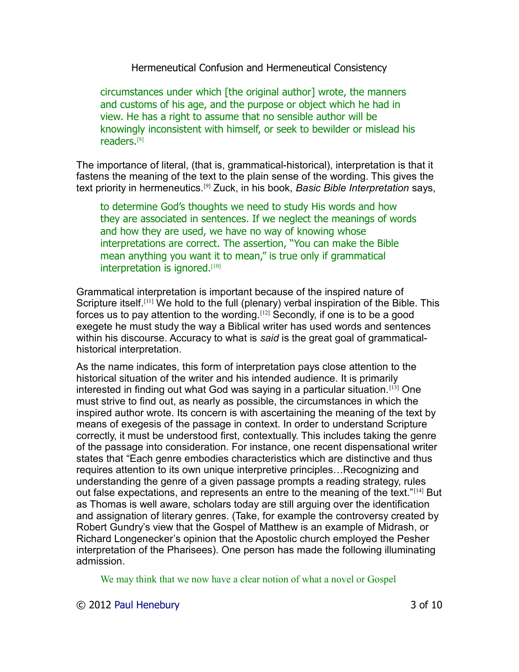circumstances under which [the original author] wrote, the manners and customs of his age, and the purpose or object which he had in view. He has a right to assume that no sensible author will be knowingly inconsistent with himself, or seek to bewilder or mislead his readers.[8]

The importance of literal, (that is, grammatical-historical), interpretation is that it fastens the meaning of the text to the plain sense of the wording. This gives the text priority in hermeneutics.[9] Zuck, in his book, *Basic Bible Interpretation* says,

to determine God's thoughts we need to study His words and how they are associated in sentences. If we neglect the meanings of words and how they are used, we have no way of knowing whose interpretations are correct. The assertion, "You can make the Bible mean anything you want it to mean," is true only if grammatical interpretation is ignored.<sup>[10]</sup>

Grammatical interpretation is important because of the inspired nature of Scripture itself.<sup>[11]</sup> We hold to the full (plenary) verbal inspiration of the Bible. This forces us to pay attention to the wording.<sup>[12]</sup> Secondly, if one is to be a good exegete he must study the way a Biblical writer has used words and sentences within his discourse. Accuracy to what is *said* is the great goal of grammaticalhistorical interpretation.

As the name indicates, this form of interpretation pays close attention to the historical situation of the writer and his intended audience. It is primarily interested in finding out what God was saying in a particular situation.[13] One must strive to find out, as nearly as possible, the circumstances in which the inspired author wrote. Its concern is with ascertaining the meaning of the text by means of exegesis of the passage in context. In order to understand Scripture correctly, it must be understood first, contextually. This includes taking the genre of the passage into consideration. For instance, one recent dispensational writer states that "Each genre embodies characteristics which are distinctive and thus requires attention to its own unique interpretive principles…Recognizing and understanding the genre of a given passage prompts a reading strategy, rules out false expectations, and represents an entre to the meaning of the text."[14] But as Thomas is well aware, scholars today are still arguing over the identification and assignation of literary genres. (Take, for example the controversy created by Robert Gundry's view that the Gospel of Matthew is an example of Midrash, or Richard Longenecker's opinion that the Apostolic church employed the Pesher interpretation of the Pharisees). One person has made the following illuminating admission.

We may think that we now have a clear notion of what a novel or Gospel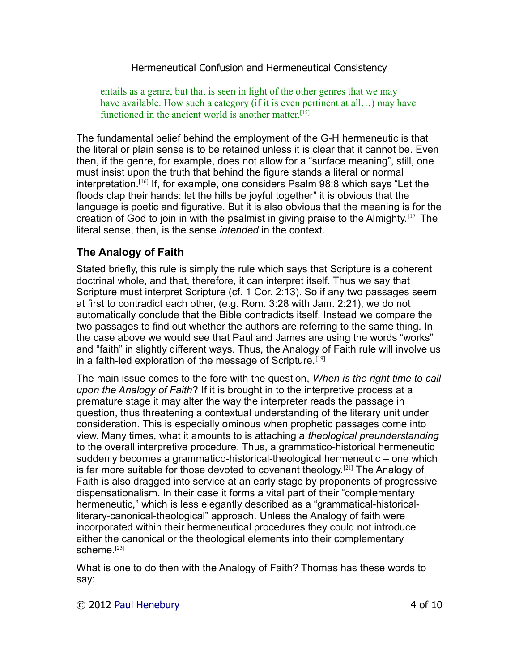entails as a genre, but that is seen in light of the other genres that we may have available. How such a category (if it is even pertinent at all...) may have functioned in the ancient world is another matter.<sup>[15]</sup>

The fundamental belief behind the employment of the G-H hermeneutic is that the literal or plain sense is to be retained unless it is clear that it cannot be. Even then, if the genre, for example, does not allow for a "surface meaning", still, one must insist upon the truth that behind the figure stands a literal or normal interpretation.[16] If, for example, one considers Psalm 98:8 which says "Let the floods clap their hands: let the hills be joyful together" it is obvious that the language is poetic and figurative. But it is also obvious that the meaning is for the creation of God to join in with the psalmist in giving praise to the Almighty.<sup>[17]</sup> The literal sense, then, is the sense *intended* in the context.

# **The Analogy of Faith**

Stated briefly, this rule is simply the rule which says that Scripture is a coherent doctrinal whole, and that, therefore, it can interpret itself. Thus we say that Scripture must interpret Scripture (cf. 1 Cor. 2:13). So if any two passages seem at first to contradict each other, (e.g. Rom. 3:28 with Jam. 2:21), we do not automatically conclude that the Bible contradicts itself. Instead we compare the two passages to find out whether the authors are referring to the same thing. In the case above we would see that Paul and James are using the words "works" and "faith" in slightly different ways. Thus, the Analogy of Faith rule will involve us in a faith-led exploration of the message of Scripture.<sup>[19]</sup>

The main issue comes to the fore with the question, *When is the right time to call upon the Analogy of Faith*? If it is brought in to the interpretive process at a premature stage it may alter the way the interpreter reads the passage in question, thus threatening a contextual understanding of the literary unit under consideration. This is especially ominous when prophetic passages come into view. Many times, what it amounts to is attaching a *theological preunderstanding* to the overall interpretive procedure. Thus, a grammatico-historical hermeneutic suddenly becomes a grammatico-historical-theological hermeneutic – one which is far more suitable for those devoted to covenant theology.<sup>[21]</sup> The Analogy of Faith is also dragged into service at an early stage by proponents of progressive dispensationalism. In their case it forms a vital part of their "complementary hermeneutic," which is less elegantly described as a "grammatical-historicalliterary-canonical-theological" approach. Unless the Analogy of faith were incorporated within their hermeneutical procedures they could not introduce either the canonical or the theological elements into their complementary scheme.<sup>[23]</sup>

What is one to do then with the Analogy of Faith? Thomas has these words to say: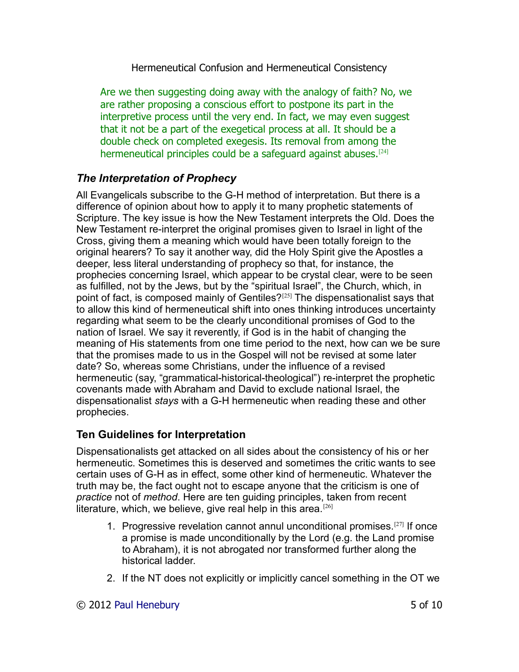Are we then suggesting doing away with the analogy of faith? No, we are rather proposing a conscious effort to postpone its part in the interpretive process until the very end. In fact, we may even suggest that it not be a part of the exegetical process at all. It should be a double check on completed exegesis. Its removal from among the hermeneutical principles could be a safeguard against abuses.<sup>[24]</sup>

# *The Interpretation of Prophecy*

All Evangelicals subscribe to the G-H method of interpretation. But there is a difference of opinion about how to apply it to many prophetic statements of Scripture. The key issue is how the New Testament interprets the Old. Does the New Testament re-interpret the original promises given to Israel in light of the Cross, giving them a meaning which would have been totally foreign to the original hearers? To say it another way, did the Holy Spirit give the Apostles a deeper, less literal understanding of prophecy so that, for instance, the prophecies concerning Israel, which appear to be crystal clear, were to be seen as fulfilled, not by the Jews, but by the "spiritual Israel", the Church, which, in point of fact, is composed mainly of Gentiles?[25] The dispensationalist says that to allow this kind of hermeneutical shift into ones thinking introduces uncertainty regarding what seem to be the clearly unconditional promises of God to the nation of Israel. We say it reverently, if God is in the habit of changing the meaning of His statements from one time period to the next, how can we be sure that the promises made to us in the Gospel will not be revised at some later date? So, whereas some Christians, under the influence of a revised hermeneutic (say, "grammatical-historical-theological") re-interpret the prophetic covenants made with Abraham and David to exclude national Israel, the dispensationalist *stays* with a G-H hermeneutic when reading these and other prophecies.

### **Ten Guidelines for Interpretation**

Dispensationalists get attacked on all sides about the consistency of his or her hermeneutic. Sometimes this is deserved and sometimes the critic wants to see certain uses of G-H as in effect, some other kind of hermeneutic. Whatever the truth may be, the fact ought not to escape anyone that the criticism is one of *practice* not of *method*. Here are ten guiding principles, taken from recent literature, which, we believe, give real help in this area.<sup>[26]</sup>

- 1. Progressive revelation cannot annul unconditional promises.[27] If once a promise is made unconditionally by the Lord (e.g. the Land promise to Abraham), it is not abrogated nor transformed further along the historical ladder.
- 2. If the NT does not explicitly or implicitly cancel something in the OT we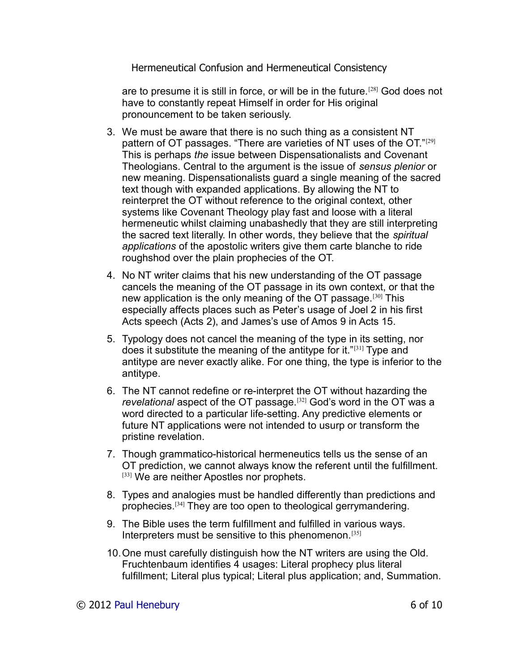are to presume it is still in force, or will be in the future.[28] God does not have to constantly repeat Himself in order for His original pronouncement to be taken seriously.

- 3. We must be aware that there is no such thing as a consistent NT pattern of OT passages. "There are varieties of NT uses of the OT."<sup>[29]</sup> This is perhaps *the* issue between Dispensationalists and Covenant Theologians. Central to the argument is the issue of *sensus plenior* or new meaning. Dispensationalists guard a single meaning of the sacred text though with expanded applications. By allowing the NT to reinterpret the OT without reference to the original context, other systems like Covenant Theology play fast and loose with a literal hermeneutic whilst claiming unabashedly that they are still interpreting the sacred text literally. In other words, they believe that the *spiritual applications* of the apostolic writers give them carte blanche to ride roughshod over the plain prophecies of the OT.
- 4. No NT writer claims that his new understanding of the OT passage cancels the meaning of the OT passage in its own context, or that the new application is the only meaning of the OT passage.<sup>[30]</sup> This especially affects places such as Peter's usage of Joel 2 in his first Acts speech (Acts 2), and James's use of Amos 9 in Acts 15.
- 5. Typology does not cancel the meaning of the type in its setting, nor does it substitute the meaning of the antitype for it."[31] Type and antitype are never exactly alike. For one thing, the type is inferior to the antitype.
- 6. The NT cannot redefine or re-interpret the OT without hazarding the *revelational* aspect of the OT passage.[32] God's word in the OT was a word directed to a particular life-setting. Any predictive elements or future NT applications were not intended to usurp or transform the pristine revelation.
- 7. Though grammatico-historical hermeneutics tells us the sense of an OT prediction, we cannot always know the referent until the fulfillment. [33] We are neither Apostles nor prophets.
- 8. Types and analogies must be handled differently than predictions and prophecies.[34] They are too open to theological gerrymandering.
- 9. The Bible uses the term fulfillment and fulfilled in various ways. Interpreters must be sensitive to this phenomenon.[35]
- 10.One must carefully distinguish how the NT writers are using the Old. Fruchtenbaum identifies 4 usages: Literal prophecy plus literal fulfillment; Literal plus typical; Literal plus application; and, Summation.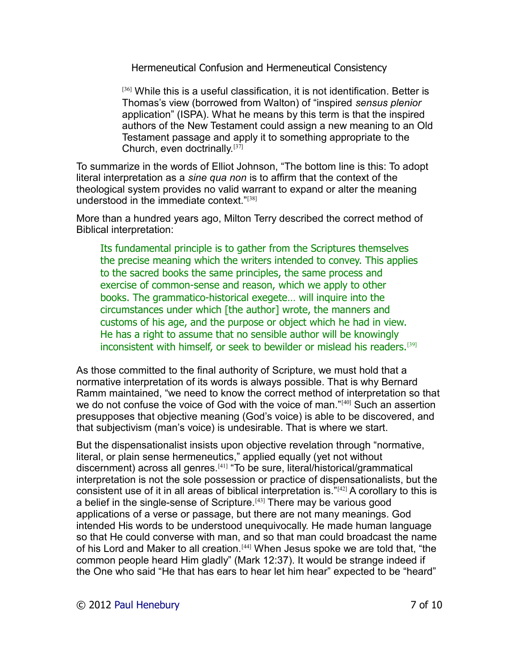$[36]$  While this is a useful classification, it is not identification. Better is Thomas's view (borrowed from Walton) of "inspired *sensus plenior* application" (ISPA). What he means by this term is that the inspired authors of the New Testament could assign a new meaning to an Old Testament passage and apply it to something appropriate to the Church, even doctrinally.[37]

To summarize in the words of Elliot Johnson, "The bottom line is this: To adopt literal interpretation as a *sine qua non* is to affirm that the context of the theological system provides no valid warrant to expand or alter the meaning understood in the immediate context."[38]

More than a hundred years ago, Milton Terry described the correct method of Biblical interpretation:

Its fundamental principle is to gather from the Scriptures themselves the precise meaning which the writers intended to convey. This applies to the sacred books the same principles, the same process and exercise of common-sense and reason, which we apply to other books. The grammatico-historical exegete… will inquire into the circumstances under which [the author] wrote, the manners and customs of his age, and the purpose or object which he had in view. He has a right to assume that no sensible author will be knowingly inconsistent with himself, or seek to bewilder or mislead his readers.<sup>[39]</sup>

As those committed to the final authority of Scripture, we must hold that a normative interpretation of its words is always possible. That is why Bernard Ramm maintained, "we need to know the correct method of interpretation so that we do not confuse the voice of God with the voice of man."<sup>[40]</sup> Such an assertion presupposes that objective meaning (God's voice) is able to be discovered, and that subjectivism (man's voice) is undesirable. That is where we start.

But the dispensationalist insists upon objective revelation through "normative, literal, or plain sense hermeneutics," applied equally (yet not without discernment) across all genres.[41] "To be sure, literal/historical/grammatical interpretation is not the sole possession or practice of dispensationalists, but the consistent use of it in all areas of biblical interpretation is.  $"$ <sup>[42]</sup> A corollary to this is a belief in the single-sense of Scripture.<sup>[43]</sup> There may be various good applications of a verse or passage, but there are not many meanings. God intended His words to be understood unequivocally. He made human language so that He could converse with man, and so that man could broadcast the name of his Lord and Maker to all creation.<sup>[44]</sup> When Jesus spoke we are told that, "the common people heard Him gladly" (Mark 12:37). It would be strange indeed if the One who said "He that has ears to hear let him hear" expected to be "heard"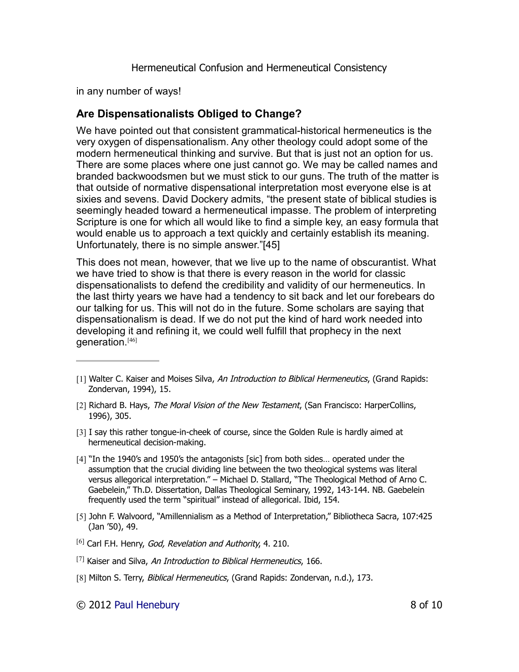in any number of ways!

### **Are Dispensationalists Obliged to Change?**

We have pointed out that consistent grammatical-historical hermeneutics is the very oxygen of dispensationalism. Any other theology could adopt some of the modern hermeneutical thinking and survive. But that is just not an option for us. There are some places where one just cannot go. We may be called names and branded backwoodsmen but we must stick to our guns. The truth of the matter is that outside of normative dispensational interpretation most everyone else is at sixies and sevens. David Dockery admits, "the present state of biblical studies is seemingly headed toward a hermeneutical impasse. The problem of interpreting Scripture is one for which all would like to find a simple key, an easy formula that would enable us to approach a text quickly and certainly establish its meaning. Unfortunately, there is no simple answer."[45]

This does not mean, however, that we live up to the name of obscurantist. What we have tried to show is that there is every reason in the world for classic dispensationalists to defend the credibility and validity of our hermeneutics. In the last thirty years we have had a tendency to sit back and let our forebears do our talking for us. This will not do in the future. Some scholars are saying that dispensationalism is dead. If we do not put the kind of hard work needed into developing it and refining it, we could well fulfill that prophecy in the next generation.[46]

- [1] Walter C. Kaiser and Moises Silva, An Introduction to Biblical Hermeneutics, (Grand Rapids: Zondervan, 1994), 15.
- [2] Richard B. Hays, The Moral Vision of the New Testament, (San Francisco: HarperCollins, 1996), 305.
- [3] I say this rather tongue-in-cheek of course, since the Golden Rule is hardly aimed at hermeneutical decision-making.
- [4] "In the 1940's and 1950's the antagonists [sic] from both sides… operated under the assumption that the crucial dividing line between the two theological systems was literal versus allegorical interpretation." – Michael D. Stallard, "The Theological Method of Arno C. Gaebelein," Th.D. Dissertation, Dallas Theological Seminary, 1992, 143-144. NB. Gaebelein frequently used the term "spiritual" instead of allegorical. Ibid, 154.
- [5] John F. Walvoord, "Amillennialism as a Method of Interpretation," Bibliotheca Sacra, 107:425 (Jan '50), 49.
- $[6]$  Carl F.H. Henry, *God, Revelation and Authority*, 4. 210.
- $[7]$  Kaiser and Silva, An Introduction to Biblical Hermeneutics, 166.
- [8] Milton S. Terry, Biblical Hermeneutics, (Grand Rapids: Zondervan, n.d.), 173.
- © 2012 [Paul Henebury](http://www.spiritandtruth.org/id/ph.htm) 8 of 10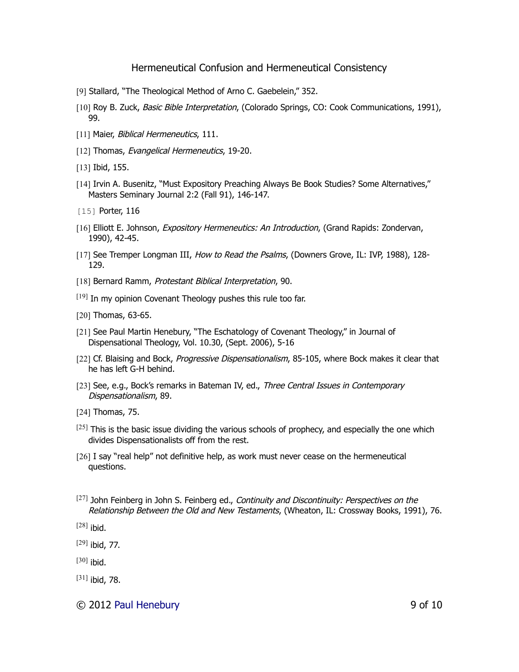- [9] Stallard, "The Theological Method of Arno C. Gaebelein," 352.
- [10] Roy B. Zuck, Basic Bible Interpretation, (Colorado Springs, CO: Cook Communications, 1991), 99.
- [11] Maier, Biblical Hermeneutics, 111.
- [12] Thomas, Evangelical Hermeneutics, 19-20.
- [13] Ibid, 155.
- [14] Irvin A. Busenitz, "Must Expository Preaching Always Be Book Studies? Some Alternatives," Masters Seminary Journal 2:2 (Fall 91), 146-147.
- [15] **Porter, 116**
- [16] Elliott E. Johnson, Expository Hermeneutics: An Introduction, (Grand Rapids: Zondervan, 1990), 42-45.
- [17] See Tremper Longman III, How to Read the Psalms, (Downers Grove, IL: IVP, 1988), 128-129.
- [18] Bernard Ramm, Protestant Biblical Interpretation, 90.
- $[19]$  In my opinion Covenant Theology pushes this rule too far.
- [20] Thomas, 63-65.
- [21] See Paul Martin Henebury, "The Eschatology of Covenant Theology," in Journal of Dispensational Theology, Vol. 10.30, (Sept. 2006), 5-16
- [22] Cf. Blaising and Bock, Progressive Dispensationalism, 85-105, where Bock makes it clear that he has left G-H behind.
- [23] See, e.g., Bock's remarks in Bateman IV, ed., Three Central Issues in Contemporary Dispensationalism, 89.
- [24] Thomas, 75.
- $[25]$  This is the basic issue dividing the various schools of prophecy, and especially the one which divides Dispensationalists off from the rest.
- [26] I say "real help" not definitive help, as work must never cease on the hermeneutical questions.
- $[27]$  John Feinberg in John S. Feinberg ed., Continuity and Discontinuity: Perspectives on the Relationship Between the Old and New Testaments, (Wheaton, IL: Crossway Books, 1991), 76.
- $[28]$  ibid.
- $[29]$  ibid, 77.
- $[30]$  ibid.
- $[31]$  ibid, 78.
- © 2012 [Paul Henebury](http://www.spiritandtruth.org/id/ph.htm) 9 of 10